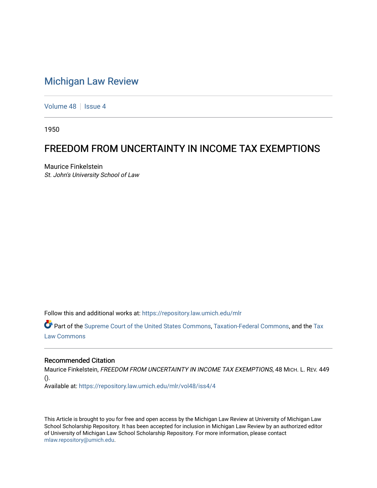## [Michigan Law Review](https://repository.law.umich.edu/mlr)

[Volume 48](https://repository.law.umich.edu/mlr/vol48) | [Issue 4](https://repository.law.umich.edu/mlr/vol48/iss4)

1950

# FREEDOM FROM UNCERTAINTY IN INCOME TAX EXEMPTIONS

Maurice Finkelstein St. John's University School of Law

Follow this and additional works at: [https://repository.law.umich.edu/mlr](https://repository.law.umich.edu/mlr?utm_source=repository.law.umich.edu%2Fmlr%2Fvol48%2Fiss4%2F4&utm_medium=PDF&utm_campaign=PDFCoverPages) 

Part of the [Supreme Court of the United States Commons,](http://network.bepress.com/hgg/discipline/1350?utm_source=repository.law.umich.edu%2Fmlr%2Fvol48%2Fiss4%2F4&utm_medium=PDF&utm_campaign=PDFCoverPages) [Taxation-Federal Commons](http://network.bepress.com/hgg/discipline/881?utm_source=repository.law.umich.edu%2Fmlr%2Fvol48%2Fiss4%2F4&utm_medium=PDF&utm_campaign=PDFCoverPages), and the [Tax](http://network.bepress.com/hgg/discipline/898?utm_source=repository.law.umich.edu%2Fmlr%2Fvol48%2Fiss4%2F4&utm_medium=PDF&utm_campaign=PDFCoverPages) [Law Commons](http://network.bepress.com/hgg/discipline/898?utm_source=repository.law.umich.edu%2Fmlr%2Fvol48%2Fiss4%2F4&utm_medium=PDF&utm_campaign=PDFCoverPages) 

#### Recommended Citation

Maurice Finkelstein, FREEDOM FROM UNCERTAINTY IN INCOME TAX EXEMPTIONS, 48 MICH. L. REV. 449 ().

Available at: [https://repository.law.umich.edu/mlr/vol48/iss4/4](https://repository.law.umich.edu/mlr/vol48/iss4/4?utm_source=repository.law.umich.edu%2Fmlr%2Fvol48%2Fiss4%2F4&utm_medium=PDF&utm_campaign=PDFCoverPages)

This Article is brought to you for free and open access by the Michigan Law Review at University of Michigan Law School Scholarship Repository. It has been accepted for inclusion in Michigan Law Review by an authorized editor of University of Michigan Law School Scholarship Repository. For more information, please contact [mlaw.repository@umich.edu.](mailto:mlaw.repository@umich.edu)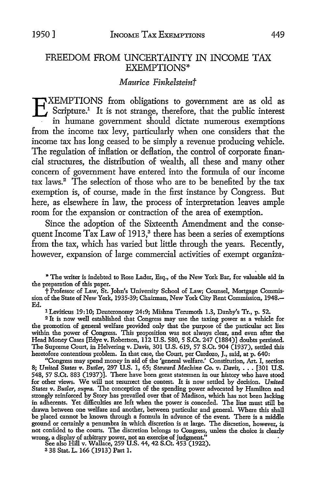### FREEDOM FROM UNCERTAINTY IN INCOME TAX EXEMPTIONS\*

### *Maurice Finkelsteint*

EXEMPTIONS from obligations to government are as old as<br>Scripture.<sup>1</sup> It is not strange, therefore, that the public interest<br>in humane government should dictate numerous exemptions Scripture.<sup>1</sup> It is not strange, therefore, that the public interest in humane government should dictate numerous exemptions from the income tax levy, particularly when one considers that the income tax has long ceased to be simply a revenue producing vehicle. The regulation of inflation or deflation, the control of corporate financial structures, the distribution of wealth, all these and many other concern of government have entered into the formula of our income tax laws.<sup>2</sup> The selection of those who are to be benefited by the tax exemption is, of course, made in the first instance by Congress. But here, as elsewhere in law, the process of interpretation leaves ample room for the expansion or contraction of the area of exemption.

Since the adoption of the Sixteenth Amendment and the consequent Income Tax Law of 1913,<sup>3</sup> there has been a series of exemptions from the tax, which has varied but little through the years. Recently, however, expansion of large commercial activities of exempt organiza-

\* The writer is indebted to Rose Lader, Esq., of the New York Bar, for valuable aid in the preparation of this paper.

t Professor of Law, St. John's University School of Law; Counsel, Mortgage Commission of the State of New York, 1935-39; Chairman, New York City Rent Commission, 1948.- Ed. 1 Leviticus 19:10; Deuteronomy 24:9; Mishna Terumoth 1.3, Danby's Tr., p. 52.

<sup>2</sup>It is now well established that Congress may use the taxing power as a vehicle for the promotion of general welfare provided only that the purpose of the particular act lies within the power of Congress. This proposition was not always clear, and even after the Head Money Cases [Edye v. Robertson, 112 U.S. 580, 5 S.Ct. 247 (1884)] doubts persisted. The Supreme Court, in Helvering v. Davis, 301 U.S. 619, 57 S.Ct. 904 (1937), settled this heretofore contentious problem. In that case, the Court, per Cardozo, J., said, at p. 640:

"Congress may spend money in aid of the 'general welfare.' Constitution, Art. I, section 8; *United States v*. *Butler*, 297 U.S. 1, 65; *Steward Machine Co. v. Davis*, . . . [301 U.S. 548, 57 S.Ct. 883 (1937)]. There have been great statesmen in our history who have stood for other views. We will not resurrect the contest. It is now settled by decision. *United*  States v. Butler, *supra*. The conception of the spending power advocated by Hamilton and strongly reinforced by Story has prevailed over that of Madison, which has not been lacking in adherents. Yet difficulties are left when the power is conceded. The line must still be drawn between one welfare and another, between particular and general. Where this shall be placed cannot be known through a formula in advance of the event. There is a middle ground or certainly a penumbra in which discretion is at large. The discretion, however, is not confided to the courts. The discretion belongs to Congress, unless the choice is clearly wrong, a display of arbitrary power, not an exercise of judgment."

See also Hill v. Wallace, 259 U.S. 44, 42 S.Ct. 453 (1922).

3 38 Stat. L. 166 (1913) Part 1.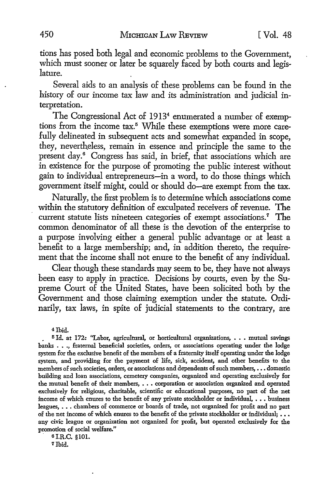tions has posed both legal and economic problems to the Government, which must sooner or later be squarely faced by both courts and legislature.

Several aids to an analysis of these problems can be found in the history of our income tax law and its administration and judicial interpretation.

The Congressional Act of 1913<sup>4</sup> enumerated a number of exemptions from the income tax.<sup>5</sup> While these exemptions were more carefully delineated in subsequent acts and somewhat expanded in scope, they, nevertheless, remain in essence and principle the same to the present day.<sup>6</sup> Congress has said, in brief, that associations which are in existence for the purpose of promoting the public interest without gain to individual entrepreneurs-in a word, to do those things which government itself might, could or should do-are exempt from the tax.

Naturally, the first problem is to determine which associations come within the statutory definition of exculpated receivers of revenue. The current statute lists nineteen categories of exempt associations.<sup>7</sup> The common denominator of all these is the devotion of the enterprise to a purpose involving either a general public advantage or at least a benefit to a large membership; and, in addition thereto, the requirement that the income shall not enure to the benefit of any individual.

Clear though these standards may seem to be, they have not always been easy to apply **in** practice. Decisions by courts, even by the **Su**preme Court of the United States, have been solicited both by the Government and those claiming exemption under the statute. Ordinarily, tax laws, in spite of judicial statements to the contrary, are

4 Ibid.

• 5 Id. at 172: "Labor, agricultural, or horticultural organizations, ••• mutual savings banks • • ., fraternal beneficial societies, orders, or associations operating under the lodge system for the exclusive benefit of the members of a fraternity itself operating under the lodge system, and providing for the payment of life, sick, accident, and other benefits to the members of such societies, orders, or associations and dependents of such members, ••• domestic building and loan associations, cemetery companies, organized and operating exclusively for the mutual benefit of their members, ••• corporation or association organized and operated exclusively for religious, charitable, scientific or educational purposes, no part of the net income of which enures to the benefit of any private stockholder or individual,  $\dots$  business leagues, ••• chambers of commerce or boards of trade, not organized for profit and no part of the net income of which enures to the benefit of the private stockholder or individual; ... any civic league or organization not organized for profit, but operated exclusively for the promotion of social welfare."

. s I.R.C. §101. 7Ibid.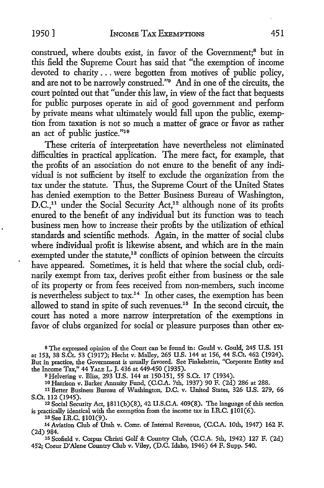construed, where doubts exist, in favor of the Government;<sup>8</sup> but in this field the Supreme Court has said that "the exemption of income devoted to charity ... were begotten from motives of public policy, and are not to be narrowly construed."9 And in one of the circuits, the court pointed out that "under this law, in view of the fact that bequests for public purposes operate in aid of good government and perform by private means what ultimately would fall upon the public, exemption from taxation is not so much a matter of grace or favor as rather an act of public justice."10

These criteria of interpretation have nevertheless not eliminated difficulties in practical application. The mere fact, for example, that the profits of an association do not enure to the benefit of any individual is not sufficient by itself to exclude the organization from the tax under the statute. Thus, the Supreme Court of the United States has denied exemption to the Better Business Bureau of Washington, D.C.,<sup>11</sup> under the Social Security Act,<sup>12</sup> although none of its profits enured to the benefit of any individual but its function was to teach business men how to increase their profits by the utilization of ethical standards and scientific methods. Again, in the matter of social clubs where individual profit is likewise absent, and which are in the main exempted under the statute,<sup>13</sup> conflicts of opinion between the circuits have appeared. Sometimes, it is held that where the social club, ordinarily exempt from tax, derives profit either from business or the sale of its property or from fees received from non-members, such income is nevertheless subject to tax.<sup>14</sup> In other cases, the exemption has been allowed to stand in spite of such revenues.15 In the second circuit, the court has noted a more narrow interpretation of the exemptions in favor of clubs organized for social or pleasure purposes than other ex-

s The expressed opinion of the Court can be found in: Gould v. Gould, 245 U.S. 151 at 153, 38 S.Ct. 53 (1917); Hecht v. Malley, 265 U.S. 144 at 156, 44 S.Ct. 462 (1924). But in practice, the Government is usually favored. See Finkelstein, "Corporate Entity and the Income Tax,'' 44 YALE L. J. 436 at 449-450 (1935).

<sup>9</sup>Helvering v. Bliss, 293 U.S. 144 at 150-151, 55 S.Ct. 17 (1934).

10 Harrison v. Barker Annuity Fund, (C.C.A. 7th, 1937) 90 F. (2d) 286 at 288.

<sup>11</sup>Better Business Bureau of Washington, D.C. v. United States, 326 U.S. 279, 66 S.Ct. 112 (1945).<br><sup>12</sup> Social Security Act, §811(b)(8), 42 U.S.C.A. 409(8). The language of this section

is practically identical with the exemption from the income tax in I.R.C. §101(6).

13 See I.R.C. §101(9).

14 Aviation Club of Utah v. Comr. of Internal Revenue, (C.C.A. 10th, 1947) 162 F. (2d) 984.

15 Scofield v. Corpus Christi Golf & Country Club, (C.C.A. 5th, 1942) 127 F. (2d) 452; Coeur D'Alene Country Club v. Viley, (D.C. Idaho, 1946) 64 F. Supp. 540.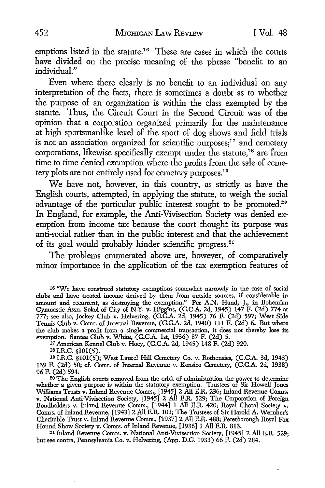emptions listed in the statute.<sup>16</sup> These are cases in which the courts have divided on the precise meaning of the phrase ''benefit to an individual."

Even where there clearly is no benefit to an individual on any interpretation of the facts, there is sometimes a doubt as to whether the purpose of an organization is within the class exempted by the statute. Thus, the Circuit Court in the Second Circuit was of the opinion that a corporation organized primarily for the maintenance at high sportsmanlike level of the sport of dog shows and field trials is not an association organized for scientific purposes;<sup>17</sup> and cemetery corporations, likewise specifically exempt under the statute,<sup>18</sup> are from time to time denied exemption where the profits from the sale of cemetery plots are not entirely used for cemetery purposes.<sup>19</sup>

We have not, however, in this country, as strictly as have the English courts, attempted, in applying the statute, to weigh the social advantage of the particular public interest sought to be promoted.<sup>20</sup> In England, for example, the Anti-Vivisection Society was denied exemption from income tax because the court thought its purpose was anti-social rather than in the public interest and that the achievement of its goal would probably hinder scientific progress.<sup>21</sup>

The problems enumerated above are, however, of comparatively minor importance in the application of the tax exemption features of

1s I.R.C. §101(5).

<sup>16 &</sup>quot;We have construed statutory exemptions somewhat narrowly in the case of social clubs and have treated income derived by them from outside sources, if considerable in amount and recurrent, as destroying the exemption." Per A.N. Hand, J., in Bohemian Gymnastic Assn. Sokol of City of N.Y. v. Higgins, (C.C.A. 2d, 1945) 147 F. (2d) 774 at 777; see also, Jockey Club v. Helvering, (C.C.A. 2d, 1945) 76 F. (2d) 597; West Side Tennis Club v. Comr. of Internal Revenue, (C.C.A. 2d, 1940) 111 F. (2d) 6. But where the club makes a profit from a single commercial transaction, it does not thereby lose its exemption. Santee Club v. White, (C.C.A. 1st, 1936) 87 F. (2d) 5.

<sup>11</sup> American Kennel Club v. Hoey, (C.C.A. 2d, 1945) 148 F. (2d) 920.

<sup>19</sup> I.R.C. §101(5); West Laurel Hill Cemetery Co. v. Rothensies, (C.C.A. 3d, 1943) 139 F. (2d) 50; cf. Comr. of Internal Revenue v. Kensico Cemetery, (C.C.A. 2d, 1938) 96 F. (2d) 594.

<sup>20</sup> The English courts removed from the orbit of administration the power to determine whether a given purpose is within the statutory exemption. Trustees of Sir Howell Jones Williams Trusts v. Inland Revenue Comrs., [1945] 2 All E.R. 236; Inland Revenue Comrs. v. National Anti-Vivisection Society, [1945] 2 All E.R. 529; The Corporation of Foreign Bondholders v. Inland Revenue Comrs., [1944] I All E.R. 420; Royal Choral Society v. Comrs. of Inland Revenue, [1943] 2 All E.R. 101; The Trustees of Sir Harold A. Wernher's Charitable Trust v. Inland Revenue Comrs., [1937] 2 All E.R. 488; Peterborough Royal Fox Hound Show Society v. Comrs. of Inland Revenue, [1936] I All E.R. 813.

<sup>21</sup> Inland Revenue Comrs. v. National Anti-Vivisection Society, [1945] 2 All E.R. 529; but see contra, Pennsylvania Co. v. Helvering, (App. D.C. 1933) 66 F. (2d) 284.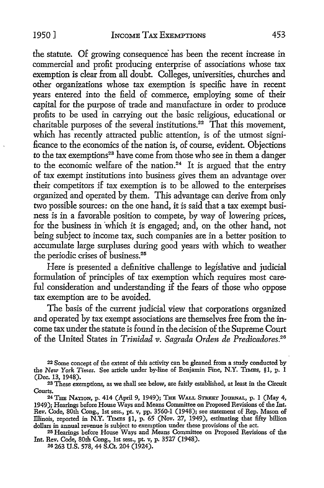the statute. Of growing consequence has been the recent increase in commercial and profit producing enterprise of associations whose tax exemption is clear from all doubt. Colleges, universities, churches and other organizations whose tax exemption is specific have in recent years entered into the field of commerce, employing some of their capital for the purpose of trade and manufacture in order to produce profits to be used in carrying out the basic religious, educational or charitable purposes of the several institutions.<sup>22</sup>  $\tilde{T}$  hat this movement, which has recently attracted public attention, is of the utmost significance to the economics of the nation is, of course, evident. Objections to the tax exemptions<sup>23</sup> have come from those who see in them a danger to the economic welfare of the nation.<sup>24</sup> It is argued that the entry of tax exempt institutions into business gives them an advantage over their competitors if tax exemption is to be allowed to the enterprises organized and operated by them. This advantage can derive from only two possible sources: on the one hand, it is said that a tax exempt business is in a favorable position to compete, by way of lowering prices, for the business in which it is engaged; and, on the other hand, not being subject to income tax, such companies are in a better position to accumulate large surpluses during good years with which to weather the periodic crises of business.<sup>25</sup>

Here is presented a definitive challenge to legislative and judicial formulation of principles of tax exemption which requires most careful consideration and understanding if the fears of those who oppose tax exemption are to be avoided.

The basis of the current judicial view that corporations organized and operated by tax exempt associations are themselves free from the income tax under the statute is found in the decision of the Supreme Court of the United States in *Trinidad v. Sagrada Orden de Predicadores.*<sup>26</sup>

<sup>22</sup> Some concept of the extent of this activity can be gleaned from a study conducted by the *New York Times.* See article under by-line of Benjamin Fine, N.Y. TIMES, §l, p. 1 (Dec. 13, 1948).

<sup>23</sup>These exemptions, as we shall see below, aie fairly established, at least in the Circuit Courts.

<sup>24</sup>THE NAnoN, p. 414 (April 9, 1949); THE WALL STREET JoUBNAL, p. 1 (May 4, 1949); Hearings before House Ways and Means Committee on Proposed Revisions of the Int. Rev. Code, 80th Cong., 1st sess., pt. v, pp. 3560-1 (1948); see statement of Rep. Mason of Illinois, reported in N.Y. TIMES §1, p. 65 (Nov. 27, 1949), estimating that fifty billion dollars in annual revenue is subject to exemption under these provisions of the act.

<sup>25</sup> Hearings before House Ways and Means Committee on Proposed Revisions of the Int. Rev. Code, 80th Cong., 1st sess., pt. v, p. 3527 (1948).

<sup>26 263</sup> U.S. 578, 44 S.Ct. 204 (1924).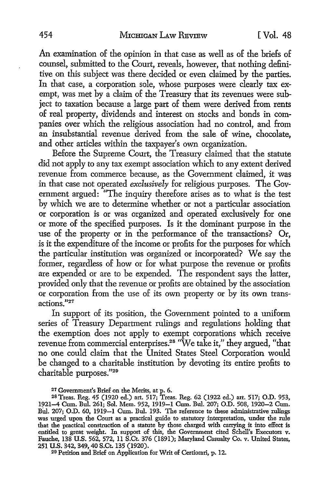An examination of the opinion in that case as well as of the briefs of counsel, submitted to the Court, reveals, however, that nothing definitive on this subject was there decided or even claimed by the parties. In that case, a corporation sole, whose purposes were clearly tax exempt, was met by a claim of the Treasury that its revenues were subject to taxation because a large part of them were derived from rents of real property, dividends and interest on stocks and bonds in companies over which the religious association had no control, and from an insubstantial revenue derived from the sale of wine, chocolate, and other articles within the taxpayer's own organization.

Before the Supreme Court, the Treasury claimed that the statute did not apply to any tax exempt association which to any extent derived revenue from commerce because, as the Government claimed, it was in that case not operated *exclusively* for religious purposes. The Government argued: "The inquiry therefore arises as to what is the test by which we are to determine whether or not a particular association or corporation is or was organized and operated exclusively for one or more of the specified purposes. Is it the dominant purpose in the use of the property or in the performance of the transactions? Or, is it the expenditure of the income or profits for the purposes for which the particular institution was organized or incorporated? We say the former, regardless of how or for what purpose the revenue or profits are expended or are to be expended. The respondent says the latter, provided only that the revenue or profits are obtained by the association or corporation from the use of its own property or by its own transactions."<sup>27</sup>

In support of its position, the Government pointed to a uniform series of Treasury Department rulings and regulations holding that the exemption does not apply to exempt corporations which receive revenue from commercial enterprises.<sup>28</sup> "We take it," they argued, "that no one could claim that the United States Steel Corporation would be changed to a charitable institution by devoting its entire profits to charitable purposes."29

29 Petition and Brief on Application for Writ of Certiorari, p. 12.

<sup>27</sup> Government's Brief on the Merits, at p. 6.

<sup>2</sup>BTreas. Reg. 45 (1920 ed.) art. 517; Treas. Reg. 62 (1922 ed.) art. 517; O.D. 953, 1921-4 Cum. Bul. 261; Sol. Mem. 952, 1919-1 Cum. Bul. 207; O.D. 508, 1920-2 Cum. Bul. 207; O.D. 60, 1919-1 Cum. Bul. 193. The reference to these administrative rulings was urged upon the Court as a practical guide to statutory interpretation, under the rule that the practical construction of a statute by those charged with carrying it into effect is entitled to great weight. In support of this, the Government cited Schell's Executors v. Fauche, 138 U.S. 562, 572, 11 S.Ct. 376 (1891); Maryland Casualty Co. v. United States, 251 U.S. 342, 349, 40 S.Ct. 135 (1920).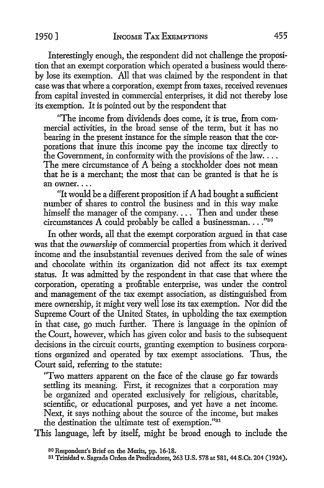Interestingly enough, the respondent did not challenge the proposition that an exempt corporation which operated a business would thereby lose its exemption. All that was claimed by the respondent in that case was that where a corporation, exempt from taxes, received revenues from capital invested in commercial enterprises, it did not thereby lose its exemption. It is pointed out by the respondent that

"The income from dividends does come, it is true, from commercial activities, in the broad sense of the term, but it has no bearing in the present instance for the simple reason that the corporations that inure this income pay the income tax directly to the Government, in conformity with the provisions of the law.... The mere circumstance of A being a stockholder does not mean that he is a merchant; the most that can be granted is that he is an owner. $\ldots$ 

"It would be a different proposition if  $A$  had bought a sufficient number of shares to control the business and in this way make himself the manager of the company .... Then and under these circumstances A could probably be called a businessman...." $^{330}$ 

In other words, all that the exempt corporation argued in that case was that the *ownership* of commercial properties from which it derived income and the insubstantial revenues derived from the sale of wines and chocolate within its organization did not affect its tax exempt status. It was admitted by the respondent in that case that where the corporation, operating a profitable enterprise, was under the control and management of the tax exempt association, as distinguished from mere ownership, it might very well lose its tax exemption. Nor did the Supreme Court of the United States, in upholding the tax exemption in that case, go much further. There is language in the opinion of the Court, however, which has given color and basis to the subsequent decisions in the circuit courts, granting exemption to business corporations organized and operated by tax exempt associations. Thus, the Court said, referring to the statute:

"Two matters apparent on the face of the clause go far towards settling its meaning. First, it recognizes that a corporation may be organized and operated exclusively for religious, charitable, scientific, or educational purposes, and yet have a net income. Next, it says nothing about the source of the income, but makes the destination the ultimate test of exemption."31

This language, left by itself, might be broad enough to include the

<sup>30</sup>Respondent's Brief on the Merits, pp. 16-18.

<sup>31</sup> Trinidad v. Sagrada Orden de Predicadores, 263 U.S. 578 at 581, 44 S.Ct. 204 (1924).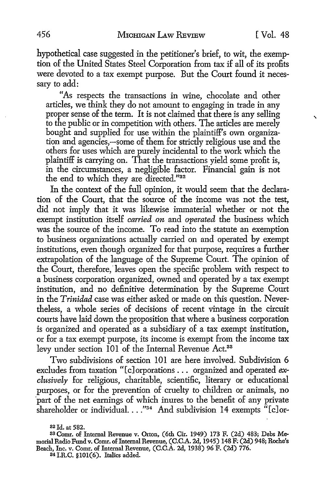hypothetical case suggested in the petitioner's brief, to wit, the exemption of the United States Steel Corporation from tax if all of its profits were devoted to a tax exempt purpose. But the Court found it necessary to add:

"As respects the transactions in wine, chocolate and other articles, we think they do not amount to engaging in trade in any proper sense of the term. It is not claimed that there is any selling , to the public or in competition with others. The articles are merely bought and supplied for use within the plaintiff's own organization and agencies,-some of them for strictly religious use and the others for uses which are purely incidental to the work which the plaintiff is carrying on. That the transactions yield some profit is, in the circumstances, a negligible factor. Financial gain is not the end to which they are directed."32

In the context of the full opinion, it would seem that the declaration of the Court, that the source of the income was not the test, did not imply that it was likewise immaterial whether or not the exempt institution itself *carried on* and *operated* the business which was the source of the income. To read into the statute an exemption to business organizations actually carried on and operated by exempt institutions, even though organized for that purpose, requires a further extrapolation of the language of the Supreme Court. The opinion of the Court, therefore, leaves open the specific problem with respect to a business corporation organized, owned and operated by a tax exempt institution, and no definitive determination by the Supreme Court in the *Trinidad* case was either asked or made on this question. Nevertheless, a whole series of decisions of recent vintage in the circuit courts have laid down the proposition that where a business corporation is organized and operated as a subsidiary of a tax exempt institution, or for a tax exempt purpose, its income is exempt from the income tax levy under section 101 of the Internal Revenue Act.<sup>33</sup>

Two subdivisions of section 101 are here involved. Subdivision 6 excludes from taxation "[c]orporations ... organized and operated *exclusively* for religious, charitable, scientific, literary or educational purposes, or for the prevention of cruelty to children or animals, no ·part of the net earnings of which inures to the benefit of any private shareholder or individual. ... "34 And subdivision 14 exempts "[c]or-

**<sup>32</sup> Id.** at **582.** 

**<sup>33</sup>Comr.** of **Internal Revenue v. Orton, (6th Cir.** 1949) 173 F. **(2d) 483; Debs Me**morial **Radio Fund v. Comr.** of **Internal Revenue, (C.C.A. 2d, 1945) 148 F; (2d) 948; Roche's Beach,** Inc. v. Comr. of **Internal Revenue, (C.C.A. 2d, 1938)** 96 **F. (2d) 776. 34 I.R.C. §101(6). Italics added.**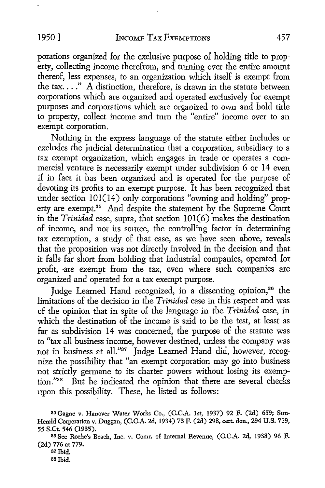porations organized for the exclusive purpose of holding title to property, collecting income therefrom, and turning over the entire amount thereof, less expenses, to an organization which itself is exempt from the tax...."  $\hat{A}$  distinction, therefore, is drawn in the statute between corporations which are organized and operated exclusively for exempt purposes and corporations which are organized to own and hold title to property, collect income and turn the "entire" income over to an exempt corporation.

Nothing in the express language of the statute either includes or excludes the judicial determination that a corporation, subsidiary to a tax exempt organization, which engages in trade or operates a commercial venture is necessarily exempt under subdivision 6 or 14 even if in fact it has been organized and is operated for the purpose of devoting its profits to an exempt purpose. It has been recognized that under section  $101(14)$  only corporations "owning and holding" property are exempt.<sup>35</sup> And despite the statement by the Supreme Court in the *Trinidad* case, supra, that section 101(6) makes the destination of income, and not its source, the controlling factor in determining tax exemption, a study of that case, as we have seen above, reveals that the proposition was not directly involved in the decision and that it falls far short from holding that industrial companies, operated for profit, are exempt from the tax, even where such companies are organized and operated for a tax exempt purpose.

Judge Learned Hand recognized, in a dissenting opinion,<sup>36</sup> the limitations of the decision in the *Trinidad* case in this respect and was of the opinion that in spite of the language in the *Trinidad* case, in which the destination of the income is said to be the test, at least as far as subdivision 14 was concerned, the purpose of the statute was to "tax all business income, however destined, unless the company was not in business at all."37 Judge Learned Hand did, however, recognize the possibility that "an exempt corporation may go into business not strictly germane to its charter powers without losing its exemption."38 But he indicated the opinion that there are several checks upon this possibility. These, he listed as follows:

35 Gagne v. Hanover Water Works Co., (C.C.A. 1st, 1937) 92 F. (2d) 659; Sun-Herald Corporation v. Duggan, (C.C.A. 2d, 1934) 73 F. (2d) 298, cert. den., 294 U.S. 719, 55 S.Ct. 546 (1935).

36 See Roche's Beach, Inc. v. Comr. of Internal Revenue, (C.C.A. 2d, 1938) 96 F. (2d) 776 at 779.

37 Ibid.

38 Ibid.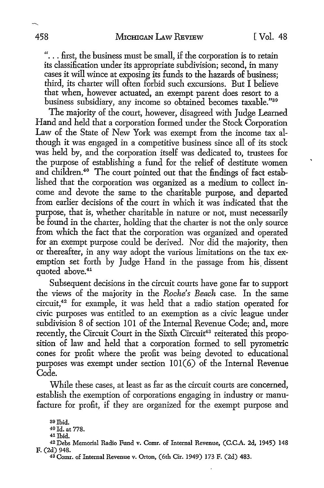"... first, the business must be small, if the corporation is to retain its classification under its appropriate subdivision; second, in many cases it will wince at exposing its funds to the hazards of business; third, its charter will often forbid such excursions. But I believe that when, however actuated, an exempt parent does resort to a business subsidiary, any income so obtained becomes taxable."<sup>30</sup>

The majority of the court, however, disagreed with Judge Learned Hand and held that a corporation formed under the Stock Corporation Law of the State of New York was exempt from the income tax although it was engaged in a competitive business since all of its stock was held by, and the corporation itself was dedicated to, trustees for the purpose of establishing a fund for the relief of destitute women and children.<sup>40</sup> The court pointed out that the findings of fact established that the corporation was organized as a medium to collect income and devote the same to the charitable purpose, and departed from earlier decisions of the court in which it was indicated that the purpose, that is, whether charitable in nature or not, must necessarily be found in the charter, holding that the charter is not the only source from which the fact that the corporation was organized and operated for an exempt purpose could be derived. Nor did the majority, then or thereafter, in any way adopt the various limitations on the tax exemption set forth by Judge Hand in the passage from his. dissent quoted above. 41

Subsequent decisions in the circuit courts have gone far to support the views of the majority in the *Roche's Beach* case. In the same circuit,42 for example, it was held that a radio station operated for civic purposes was entitled to an exemption as a civic league under subdivision 8 of section 101 of the Internal Revenue Code; and, more recently, the Circuit Court in the Sixth Circuit<sup>43</sup> reiterated this proposition of law and held that a corporation formed to sell pyrometric cones for profit where the profit was being devoted to educational purposes was exempt under section 101(6) of the Internal Revenue Code.

While these cases, at least as far as the circuit courts are concerned, establish the exemption of corporations engaging in industry or manufacture for profit, if they are organized for the exempt purpose and

<sup>39</sup>Ibid.

<sup>40</sup> Id. at 778. 41 Ibid.

<sup>42</sup> Debs Memorial Radio Fund v. Comr. of Internal Revenue, (C.C.A. 2d, 1945) 148 F. (2d) 948.

<sup>43</sup> Comr. of Internal Revenue v. Orton, (6th Cir. 1949) 173 F. (2d) 483.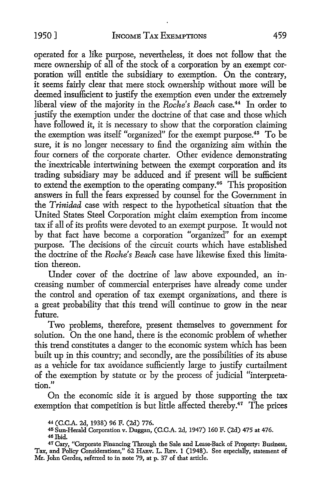operated for a like purpose, nevertheless, it does not follow that the mere ownership of all of the stock of a corporation by an exempt corporation will entitle the subsidiary to exemption. On the contrary, it seems fairly clear that mere stock ownership without more will be deemed insufficient to justify the exemption even under the extremely liberal view of the majority in the *Roche's Beach* case.<sup>44</sup> In order to justify the exemption under the doctrine of that case and those which have followed it, it is necessary to show that the corporation claiming the exemption was itself "organized" for the exempt purpose.<sup>45</sup> To be sure, it is no longer necessary to find the organizing aim within the four comers of the corporate charter. Other evidence demonstrating the inextricable intertwining between the exempt corporation and its trading subsidiary may be adduced and if present will be sufficient to extend the exemption to the operating company.46 This proposition answers in full the fears expressed by counsel for the Government in the *Trinidad* case with respect to the hypothetical situation that the United States Steel Corporation might claim exemption from income tax if all of its profits were devoted to an exempt purpose. It would not by that fact have become a corporation "organized" for an exempt purpose. The decisions of the circuit courts which have established the doctrine of the *Roche's Beach* case have likewise fixed this limitation thereon.

Under cover of the doctrine of law above expounded, an increasing number of commercial enterprises have already come under the control and operation of tax exempt organizations, and there is a great probability that this trend will continue to grow in the near future.

Two problems, therefore, present themselves to government for solution. On the one hand, there is the economic problem of whether this trend constitutes a danger to the economic system which has been built up in this country; and secondly, are the possibilities of its abuse as a vehicle for tax avoidance sufficiently large to justify curtailment of the exemption by statute or by the process of judicial "interpretation."

On the economic side it is argued by those supporting the tax exemption that competition is but little affected thereby.<sup>47</sup> The prices

<sup>44</sup>**(C.C.A.** 2d, 1938) 96 F. (2d) 776.

<sup>&</sup>lt;sup>45</sup> Sun-Herald Corporation v. Duggan, (C.C.A. 2d, 1947) 160 F. (2d) 475 at 476.<br><sup>46</sup> Ibid.

<sup>47</sup> Cary, "Corporate Financing Through the Sale and Lease-Back of Property: Business, Tax, and Policy Considerations," 62 HARV. L. REV. 1 (1948). See especially, statement of Mr. John Gerdes, referred to in note 79, at p. 37 of that article.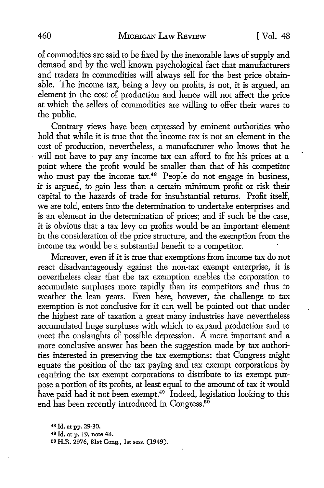of commodities are said to be fixed by the inexorable laws of supply and demand and by the well known psychological fact that manufacturers and traders in commodities will always sell for the best price obtainable. The income tax, being a levy on profits, is not, it is argued, an element in the cost of production and hence will not affect the price at which the sellers of commodities are willing to offer their wares to the public.

Contrary views have been expressed by eminent authorities who hold that while it is true that the income tax is not an element in the cost of production, nevertheless, a manufacturer who knows that he will not have to pay any income tax can afford to fix his prices at a point where the profit would be smaller than that of his competitor who must pay the income  $\text{tax.}^{48}$  People do not engage in business, it is argued, to gain less than a certain minimum profit or risk their capital to the hazards of trade for insubstantial returns. Profit itself, we are told, enters into the determination to undertake enterprises and is an element in the determination of prices; and if such be the case, it is obvious that a tax levy on profits would be an important element in the consideration of the price structure, and the exemption from the income tax would be a substantial benefit to a competitor.

Moreover, even if it is true that exemptions from income tax do not react disadvantageously against the non-tax exempt enterprise, it is nevertheless clear that the tax exemption enables the corporation to accumulate surpluses more rapidly than its competitors and thus to weather the lean years. Even here, however, the challenge to tax exemption is not conclusive for it can well be pointed out that under the highest rate of taxation a great many industries have nevertheless accumulated huge surpluses with which to expand production and to meet the onslaughts of possible depression. A more important and a more conclusive answer has been the suggestion made by tax authorities interested in preserving the tax exemptions: that Congress might equate the position of the tax paying and tax exempt corporations by requiring the tax exempt corporations to distribute to its exempt purpose a portion of its profits, at least equal to the amount of tax it would have paid had it not been exempt.<sup>49</sup> Indeed, legislation looking to this end has been recently introduced in Congress.<sup>50</sup>

<sup>48</sup>Id. at pp. 29-30. 49 Id. at p. 19, note 43. 50H.R. 2976, 81st Cong., 1st sess. (1949).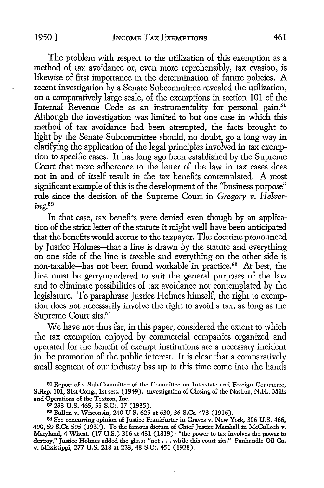The problem with respect to the utilization of this exemption as a method of tax avoidance or, even more reprehensibly, tax evasion, is likewise of first importance in the determination of future policies. A recent investigation by a Senate Subcommittee revealed the utilization, on a comparatively large scale, of the exemptions in section 101 of the Internal Revenue Code as an instrumentality for personal gain.<sup>51</sup> Although the investigation was limited to but one case in which this method of tax avoidance had been attempted, the facts brought to light by the Senate Subcommittee should, no doubt, go a long way in clarifying the application of the legal principles involved in tax exemption to specific cases. It has long ago been established by the Supreme Court that mere adherence to the letter of the law in tax cases does not in and of itself result in the tax benefits contemplated. A most significant example of this is the development of the ''business purpose" rule since the decision of the Supreme Court in *Gregory v. Helvering.52* 

In that case, tax benefits were denied even though by an application of the strict letter of the statute it might well have been anticipated that the benefits would accrue to the taxpayer. The doctrine pronounced by Justice Holmes-that a line is drawn by the statute and everything on one side of the line is taxable and everything on the other side is non-taxable-has not been found workable in practice.53 At best, the line must be gerrymandered to suit the general purposes of the law and to eliminate possibilities of tax avoidance not contemplated by the legislature. To paraphrase Justice Holmes himself, the right to exemption does not necessarily involve the right to avoid a tax, as long as the Supreme Court sits.<sup>54</sup>

We have not thus far, in this paper, considered the extent to which the tax exemption enjoyed by commercial companies organized and operated for the benefit of exempt institutions are a necessary incident in the promotion of the public interest. It is clear that a comparatively small segment of our industry has up to this time come into the hands

51 Report of a Sub-Committee of the Committee on Interstate and Foreign Commerce, S.Rep. 101, 81st Cong., 1st sess. (1949). Investigation of Closing of the Nashua, N.H., Mills and Operations of the Textron, Inc.

52 293 U.S. 465, 55 S.Ct. 17 (1935).

53Bullen v. Wisconsin, 240 U.S. 625 at 630, 36 S.Ct. 473 (1916).

<sup>54</sup>See concurring opinion of Justice Frankfurter in Graves v. New York, 306 U.S. 466, 490, 59 S.Ct. 595 (1939). To the famous dictum of Chief Justice Marshall in McCulloch v. Maryland, 4 Wheat. (17 U.S.) 316 at 431 (1819): "the power to tax involves the power to destroy," Justice Holmes added the gloss: "not . . . while this court sits." Panhandle Oil Co. v. Mississippi, 277 U.S. 218 at 223, 48 S.Ct. 451 (1928).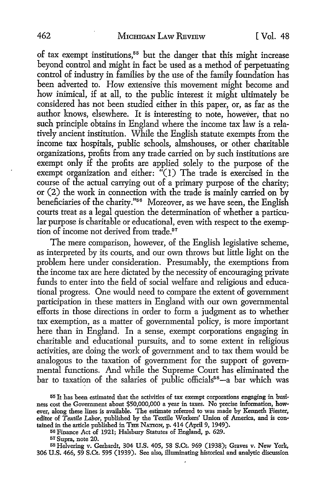of tax exempt institutions,<sup>55</sup> but the danger that this might increase beyond control and might in fact be used as a method of perpetuating control of industry in families by the use of the family foundation has been adverted to. How extensive this movement might become and how inimical, if at all, to the public interest it might ultimately be considered has not been studied either in this paper, or, as far as the author knows, elsewhere. It is interesting to note, however, that no such principle obtains in England where the income tax law is a relatively ancient institution. While the English statute exempts from the income tax hospitals, public schools, almshouses, or other charitable organizations, profits from any trade carried on by such institutions are exempt only if the profits are applied solely to the purpose of the exempt organization and either:  $\sqrt[n]{(1)}$  The trade is exercised in the course of the actual carrying out of a primary purpose of the charity; or (2) the work in connection with the trade is mainly carried on by beneficiaries of the charity."<sup>56</sup> Moreover, as we have seen, the English courts treat as a legal question the determination of whether a particular purpose is charitable or educational, even with respect to the exemption of income not derived from trade.<sup>57</sup>

The mere comparison, however, of the English legislative scheme, as interpreted by its courts, and our own throws but little light on the problem here under consideration. Presumably, the exemptions from the income tax are here dictated by the necessity of encouraging private funds to enter into the field of social welfare and religious and educational progress. One would need to compare the extent of government participation in these matters in England with our own governmental efforts in those directions in order to form a judgment as to whether tax exemption, as a matter of governmental policy, is more important here than in England. In a sense, exempt corporations engaging in charitable and educational pursuits, and to some extent in religious activities, are doing the work of government and to tax them would be analogous to the taxation of government for the support of governmental functions. And while the Supreme Court has eliminated the bar to taxation of the salaries of public officials<sup>58</sup>-a bar which was

56 Finance Act of 1921; Halsbury Statutes of England, p. 629.

57 Supra, note 20.

58 Helvering v. Gerhardt, 304 U.S. 405, 58 S.Ct. 969 (1938); Graves **v. New** York, 306 U.S. 466, 59 S.Ct. 595 (1939). See also, illuminating historical and analytic discussion

<sup>55</sup> It has been estimated that the activities of tax exempt corporations engaging in business cost the Government about \$50,000,000 a year in taxes. No precise information, however, along these lines is available. The estimate referred to was made by Kenneth Fiester, editor of *Textile Labor,* published by the Textile Workers' Union of America, and is contained in the article published in THB NATION, p. 414 (April 9, 1949).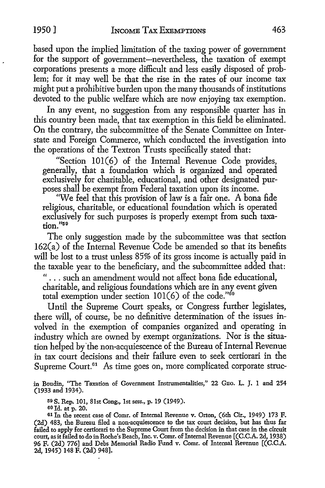based upon the implied limitation of the taxing power of government for the support of government-nevertheless, the taxation of exempt corporations presents a more difficult and less easily disposed of problem; for it may well he that the rise in the rates of our income tax might put a prohibitive burden upon the many thousands of institutions devoted to the public welfare which are now enjoying tax exemption.

In any event, no suggestion from any responsible quarter has in this country been made, that tax exemption in this field he eliminated. On the contrary, the subcommittee of the Senate Committee on Interstate and Foreign Commerce, which conducted the investigation into the operations of the Textron Trusts specifically stated that:

"Section 101(6) of the Internal Revenue Code provides, generally, that a foundation which is organized and operated exclusively for charitable, educational, and other designated purposes shall be exempt from Federal taxation upon its income.

''We feel that this provision of law is a fair one. A bona fide religious, charitable, or educational foundation which is operated exclusively for such purposes is properly exempt from such taxation."59

The only suggestion made by the subcommittee was that section 162(a) of the Internal Revenue Code he amended so that its benefits will be lost to a trust unless 85% of its gross income is actually paid in the taxable year to the beneficiary, and the subcommittee added that:

" ... such an amendment would not affect bona fide educational, charitable, and religious foundations which are in any event given total exemption under section  $101(6)$  of the code."<sup>60</sup>

Until the Supreme Court speaks, or Congress further legislates, there will, of course, he no definitive determination of the issues involved in the exemption of companies organized and operating in industry which are owned by exempt organizations. Nor is the situation helped by 'the non-acquiescence of the Bureau of Internal Revenue in tax court decisions and their failure even to seek certiorari in the Supreme Court.<sup>61</sup> As time goes on, more complicated corporate struc-

in Boudin, "The Taxation of Government Instrumentalities," 22 GEo. L. J. I and 254 (1933 and 1934).

59 S. Rep. 101, 81st Cong., 1st sess., p. 19 (1949).

60 Id. at p. 20.

<sup>61</sup> In the recent case of Comr. of Internal Revenue v. Orton, (6th Cir., 1949) 173 F. (2d) 483, the Bureau filed a non-acquiescence to the tax court decision, but has thus far failed to apply for certiorari to the Supreme Court from the decision in that case in the circuit court, as it failed to do in Roche's Beach, Inc. v. Comr. of Internal Revenue [(C.C.A. 2d, 1938) 96 F. (2d) 776] and Debs Memorial Radio Fund v. Comr. of Internal Revenue [(C.C.A. 2d, 1945) 148 F. (2d) 948].